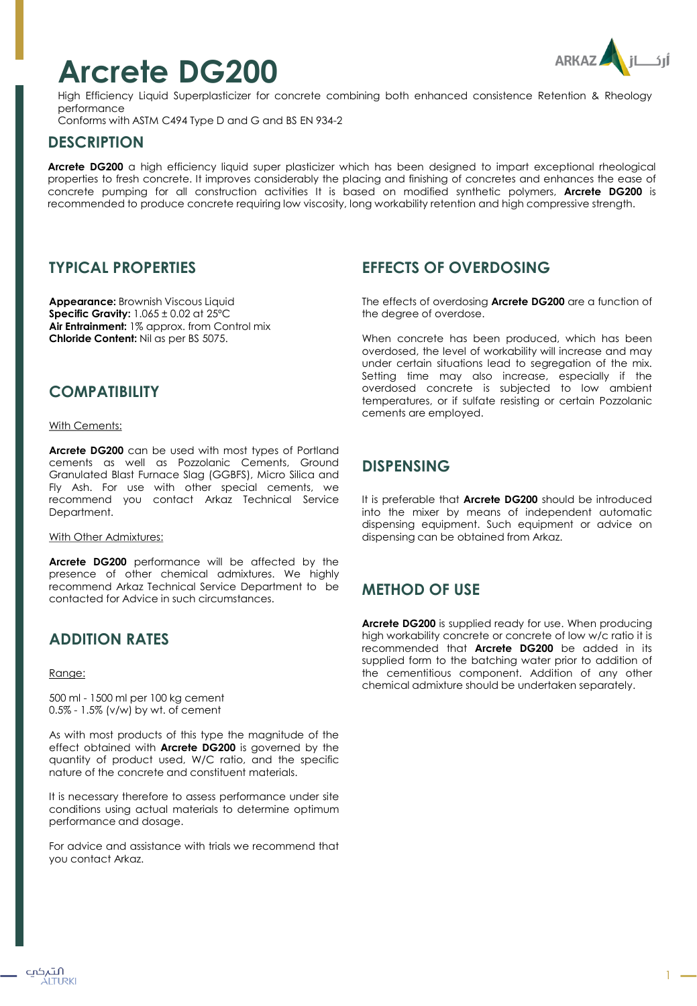# **Arcrete DG200**



High Efficiency Liquid Superplasticizer for concrete combining both enhanced consistence Retention & Rheology performance

Conforms with ASTM C494 Type D and G and BS EN 934-2

#### **DESCRIPTION**

**Arcrete DG200** a high efficiency liquid super plasticizer which has been designed to impart exceptional rheological properties to fresh concrete. It improves considerably the placing and finishing of concretes and enhances the ease of concrete pumping for all construction activities It is based on modified synthetic polymers, **Arcrete DG200** is recommended to produce concrete requiring low viscosity, long workability retention and high compressive strength.

## **TYPICAL PROPERTIES**

**Appearance:** Brownish Viscous Liquid **Specific Gravity:** 1.065 ± 0.02 at 25ºC **Air Entrainment:** 1% approx. from Control mix **Chloride Content:** Nil as per BS 5075.

## **COMPATIBILITY**

With Cements:

**Arcrete DG200** can be used with most types of Portland cements as well as Pozzolanic Cements, Ground Granulated Blast Furnace Slag (GGBFS), Micro Silica and Fly Ash. For use with other special cements, we recommend you contact Arkaz Technical Service Department.

With Other Admixtures:

**Arcrete DG200** performance will be affected by the presence of other chemical admixtures. We highly recommend Arkaz Technical Service Department to be contacted for Advice in such circumstances.

# **ADDITION RATES**

#### Range:

500 ml - 1500 ml per 100 kg cement 0.5% - 1.5% (v/w) by wt. of cement

As with most products of this type the magnitude of the effect obtained with **Arcrete DG200** is governed by the quantity of product used, W/C ratio, and the specific nature of the concrete and constituent materials.

It is necessary therefore to assess performance under site conditions using actual materials to determine optimum performance and dosage.

For advice and assistance with trials we recommend that you contact Arkaz.

#### **EFFECTS OF OVERDOSING**

The effects of overdosing **Arcrete DG200** are a function of the degree of overdose.

When concrete has been produced, which has been overdosed, the level of workability will increase and may under certain situations lead to segregation of the mix. Setting time may also increase, especially if the overdosed concrete is subjected to low ambient temperatures, or if sulfate resisting or certain Pozzolanic cements are employed.

# **DISPENSING**

It is preferable that **Arcrete DG200** should be introduced into the mixer by means of independent automatic dispensing equipment. Such equipment or advice on dispensing can be obtained from Arkaz.

## **METHOD OF USE**

**Arcrete DG200** is supplied ready for use. When producing high workability concrete or concrete of low w/c ratio it is recommended that **Arcrete DG200** be added in its supplied form to the batching water prior to addition of the cementitious component. Addition of any other chemical admixture should be undertaken separately.